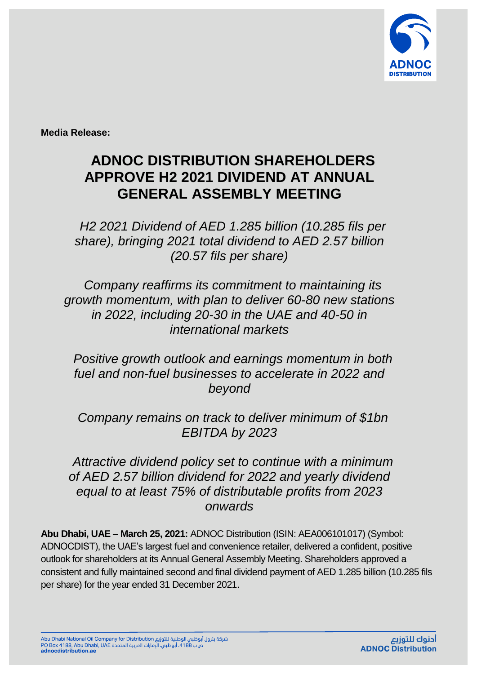

**Media Release:**

## **ADNOC DISTRIBUTION SHAREHOLDERS APPROVE H2 2021 DIVIDEND AT ANNUAL GENERAL ASSEMBLY MEETING**

*H2 2021 Dividend of AED 1.285 billion (10.285 fils per share), bringing 2021 total dividend to AED 2.57 billion (20.57 fils per share)*

*Company reaffirms its commitment to maintaining its growth momentum, with plan to deliver 60-80 new stations in 2022, including 20-30 in the UAE and 40-50 in international markets*

*Positive growth outlook and earnings momentum in both fuel and non-fuel businesses to accelerate in 2022 and beyond*

*Company remains on track to deliver minimum of \$1bn EBITDA by 2023*

*Attractive dividend policy set to continue with a minimum of AED 2.57 billion dividend for 2022 and yearly dividend equal to at least 75% of distributable profits from 2023 onwards*

**Abu Dhabi, UAE – March 25, 2021:** ADNOC Distribution (ISIN: AEA006101017) (Symbol: ADNOCDIST), the UAE's largest fuel and convenience retailer, delivered a confident, positive outlook for shareholders at its Annual General Assembly Meeting. Shareholders approved a consistent and fully maintained second and final dividend payment of AED 1.285 billion (10.285 fils per share) for the year ended 31 December 2021.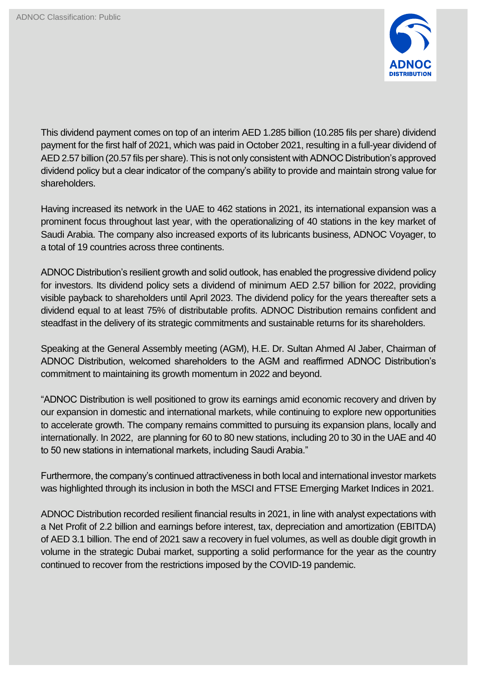

This dividend payment comes on top of an interim AED 1.285 billion (10.285 fils per share) dividend payment for the first half of 2021, which was paid in October 2021, resulting in a full-year dividend of AED 2.57 billion (20.57 fils per share). This is not only consistent with ADNOC Distribution's approved dividend policy but a clear indicator of the company's ability to provide and maintain strong value for shareholders.

Having increased its network in the UAE to 462 stations in 2021, its international expansion was a prominent focus throughout last year, with the operationalizing of 40 stations in the key market of Saudi Arabia. The company also increased exports of its lubricants business, ADNOC Voyager, to a total of 19 countries across three continents.

ADNOC Distribution's resilient growth and solid outlook, has enabled the progressive dividend policy for investors. Its dividend policy sets a dividend of minimum AED 2.57 billion for 2022, providing visible payback to shareholders until April 2023. The dividend policy for the years thereafter sets a dividend equal to at least 75% of distributable profits. ADNOC Distribution remains confident and steadfast in the delivery of its strategic commitments and sustainable returns for its shareholders.

Speaking at the General Assembly meeting (AGM), H.E. Dr. Sultan Ahmed Al Jaber, Chairman of ADNOC Distribution, welcomed shareholders to the AGM and reaffirmed ADNOC Distribution's commitment to maintaining its growth momentum in 2022 and beyond.

"ADNOC Distribution is well positioned to grow its earnings amid economic recovery and driven by our expansion in domestic and international markets, while continuing to explore new opportunities to accelerate growth. The company remains committed to pursuing its expansion plans, locally and internationally. In 2022, are planning for 60 to 80 new stations, including 20 to 30 in the UAE and 40 to 50 new stations in international markets, including Saudi Arabia."

Furthermore, the company's continued attractiveness in both local and international investor markets was highlighted through its inclusion in both the MSCI and FTSE Emerging Market Indices in 2021.

ADNOC Distribution recorded resilient financial results in 2021, in line with analyst expectations with a Net Profit of 2.2 billion and earnings before interest, tax, depreciation and amortization (EBITDA) of AED 3.1 billion. The end of 2021 saw a recovery in fuel volumes, as well as double digit growth in volume in the strategic Dubai market, supporting a solid performance for the year as the country continued to recover from the restrictions imposed by the COVID-19 pandemic.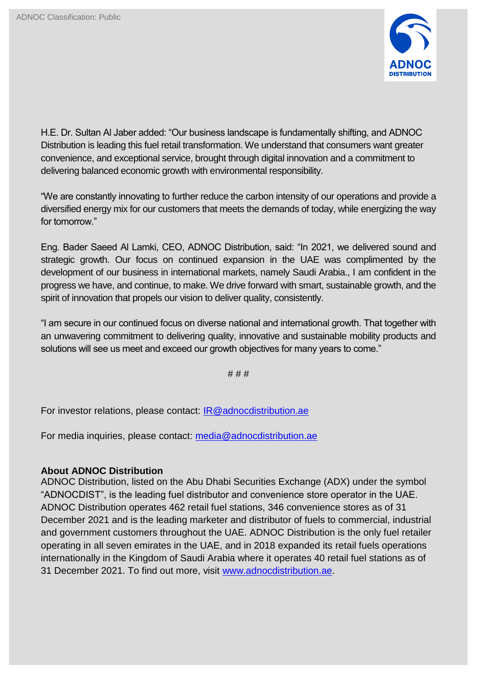

H.E. Dr. Sultan Al Jaber added: "Our business landscape is fundamentally shifting, and ADNOC Distribution is leading this fuel retail transformation. We understand that consumers want greater convenience, and exceptional service, brought through digital innovation and a commitment to delivering balanced economic growth with environmental responsibility.

"We are constantly innovating to further reduce the carbon intensity of our operations and provide a diversified energy mix for our customers that meets the demands of today, while energizing the way for tomorrow."

Eng. Bader Saeed Al Lamki, CEO, ADNOC Distribution, said: "In 2021, we delivered sound and strategic growth. Our focus on continued expansion in the UAE was complimented by the development of our business in international markets, namely Saudi Arabia., I am confident in the progress we have, and continue, to make. We drive forward with smart, sustainable growth, and the spirit of innovation that propels our vision to deliver quality, consistently.

"I am secure in our continued focus on diverse national and international growth. That together with an unwavering commitment to delivering quality, innovative and sustainable mobility products and solutions will see us meet and exceed our growth objectives for many years to come."

# # #

For investor relations, please contact: [IR@adnocdistribution.ae](mailto:IR@adnocdistribution.ae)

For media inquiries, please contact: [media@adnocdistribution.ae](about:blank)

## **About ADNOC Distribution**

ADNOC Distribution, listed on the Abu Dhabi Securities Exchange (ADX) under the symbol "ADNOCDIST", is the leading fuel distributor and convenience store operator in the UAE. ADNOC Distribution operates 462 retail fuel stations, 346 convenience stores as of 31 December 2021 and is the leading marketer and distributor of fuels to commercial, industrial and government customers throughout the UAE. ADNOC Distribution is the only fuel retailer operating in all seven emirates in the UAE, and in 2018 expanded its retail fuels operations internationally in the Kingdom of Saudi Arabia where it operates 40 retail fuel stations as of 31 December 2021. To find out more, visit [www.adnocdistribution.ae.](http://www.adnocdistribution.ae/)